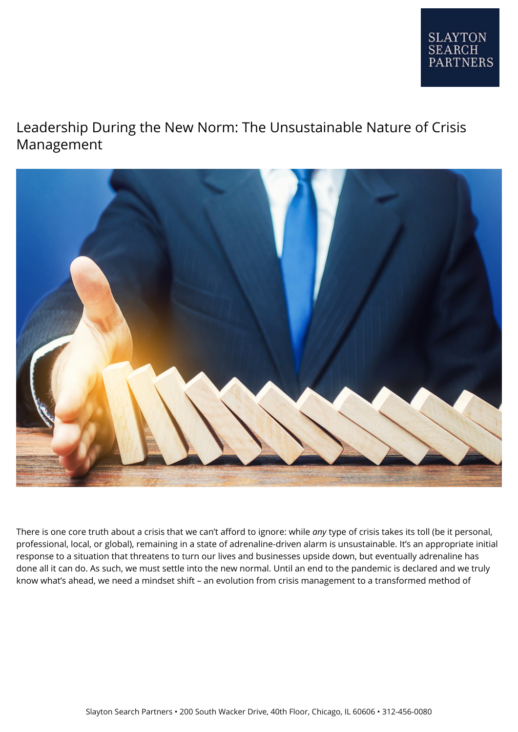## Leadership During the New Norm: The Unsustainable Nature of Crisis Management



There is one core truth about a crisis that we can't afford to ignore: while *any* type of crisis takes its toll (be it personal, professional, local, or global), remaining in a state of adrenaline-driven alarm is unsustainable. It's an appropriate initial response to a situation that threatens to turn our lives and businesses upside down, but eventually adrenaline has done all it can do. As such, we must settle into the new normal. Until an end to the pandemic is declared and we truly know what's ahead, we need a mindset shift – an evolution from crisis management to a transformed method of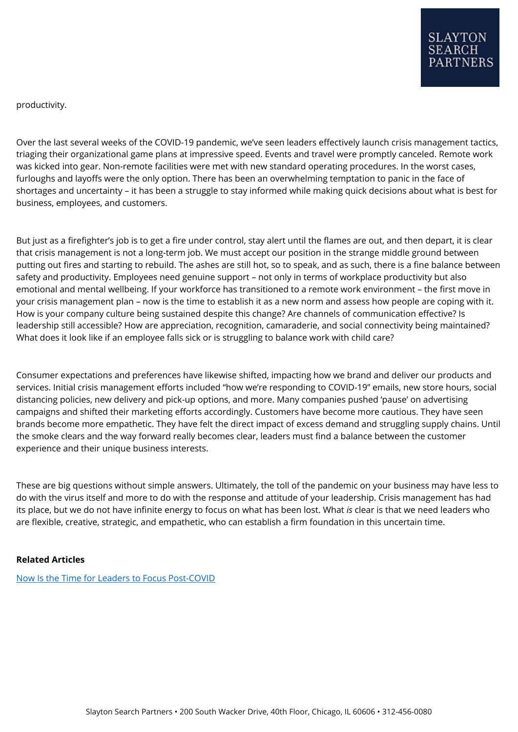productivity.

Over the last several weeks of the COVID-19 pandemic, we've seen leaders effectively launch crisis management tactics, triaging their organizational game plans at impressive speed. Events and travel were promptly canceled. Remote work was kicked into gear. Non-remote facilities were met with new standard operating procedures. In the worst cases, furloughs and layoffs were the only option. There has been an overwhelming temptation to panic in the face of shortages and uncertainty – it has been a struggle to stay informed while making quick decisions about what is best for business, employees, and customers.

But just as a firefighter's job is to get a fire under control, stay alert until the flames are out, and then depart, it is clear that crisis management is not a long-term job. We must accept our position in the strange middle ground between putting out fires and starting to rebuild. The ashes are still hot, so to speak, and as such, there is a fine balance between safety and productivity. Employees need genuine support – not only in terms of workplace productivity but also emotional and mental wellbeing. If your workforce has transitioned to a remote work environment – the first move in your crisis management plan – now is the time to establish it as a new norm and assess how people are coping with it. How is your company culture being sustained despite this change? Are channels of communication effective? Is leadership still accessible? How are appreciation, recognition, camaraderie, and social connectivity being maintained? What does it look like if an employee falls sick or is struggling to balance work with child care?

Consumer expectations and preferences have likewise shifted, impacting how we brand and deliver our products and services. Initial crisis management efforts included "how we're responding to COVID-19" emails, new store hours, social distancing policies, new delivery and pick-up options, and more. Many companies pushed 'pause' on advertising campaigns and shifted their marketing efforts accordingly. Customers have become more cautious. They have seen brands become more empathetic. They have felt the direct impact of excess demand and struggling supply chains. Until the smoke clears and the way forward really becomes clear, leaders must find a balance between the customer experience and their unique business interests.

These are big questions without simple answers. Ultimately, the toll of the pandemic on your business may have less to do with the virus itself and more to do with the response and attitude of your leadership. Crisis management has had its place, but we do not have infinite energy to focus on what has been lost. What *is* clear is that we need leaders who are flexible, creative, strategic, and empathetic, who can establish a firm foundation in this uncertain time.

## **Related Articles**

[Now Is the Time for Leaders to Focus Post-COVID](https://www.slaytonsearch.com/2020/04/now-is-the-time-for-leaders-to-focus-post-covid/)